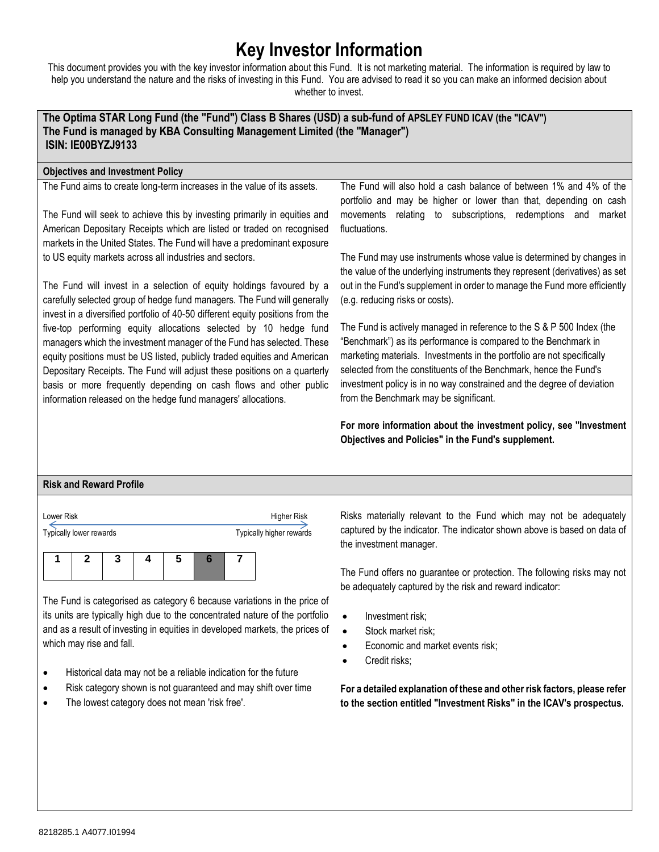# **Key Investor Information**

This document provides you with the key investor information about this Fund. It is not marketing material. The information is required by law to help you understand the nature and the risks of investing in this Fund. You are advised to read it so you can make an informed decision about whether to invest.

# **The Optima STAR Long Fund (the "Fund") Class B Shares (USD) a sub-fund of APSLEY FUND ICAV (the "ICAV") The Fund is managed by KBA Consulting Management Limited (the "Manager") ISIN: IE00BYZJ9133**

## **Objectives and Investment Policy**

The Fund aims to create long-term increases in the value of its assets.

The Fund will seek to achieve this by investing primarily in equities and American Depositary Receipts which are listed or traded on recognised markets in the United States. The Fund will have a predominant exposure to US equity markets across all industries and sectors.

The Fund will invest in a selection of equity holdings favoured by a carefully selected group of hedge fund managers. The Fund will generally invest in a diversified portfolio of 40-50 different equity positions from the five-top performing equity allocations selected by 10 hedge fund managers which the investment manager of the Fund has selected. These equity positions must be US listed, publicly traded equities and American Depositary Receipts. The Fund will adjust these positions on a quarterly basis or more frequently depending on cash flows and other public information released on the hedge fund managers' allocations.

The Fund will also hold a cash balance of between 1% and 4% of the portfolio and may be higher or lower than that, depending on cash movements relating to subscriptions, redemptions and market fluctuations.

The Fund may use instruments whose value is determined by changes in the value of the underlying instruments they represent (derivatives) as set out in the Fund's supplement in order to manage the Fund more efficiently (e.g. reducing risks or costs).

The Fund is actively managed in reference to the S & P 500 Index (the "Benchmark") as its performance is compared to the Benchmark in marketing materials. Investments in the portfolio are not specifically selected from the constituents of the Benchmark, hence the Fund's investment policy is in no way constrained and the degree of deviation from the Benchmark may be significant.

**For more information about the investment policy, see "Investment Objectives and Policies" in the Fund's supplement.**

## **Risk and Reward Profile**

| Lower Risk |                         |  |   | <b>Higher Risk</b> |  |                          |
|------------|-------------------------|--|---|--------------------|--|--------------------------|
|            | Typically lower rewards |  |   |                    |  | Typically higher rewards |
|            |                         |  | 5 |                    |  |                          |

The Fund is categorised as category 6 because variations in the price of its units are typically high due to the concentrated nature of the portfolio and as a result of investing in equities in developed markets, the prices of which may rise and fall.

- Historical data may not be a reliable indication for the future
- Risk category shown is not guaranteed and may shift over time
- The lowest category does not mean 'risk free'.

Risks materially relevant to the Fund which may not be adequately captured by the indicator. The indicator shown above is based on data of the investment manager.

The Fund offers no guarantee or protection. The following risks may not be adequately captured by the risk and reward indicator:

- Investment risk;
- Stock market risk;
- Economic and market events risk;
- Credit risks;

**For a detailed explanation of these and other risk factors, please refer to the section entitled "Investment Risks" in the ICAV's prospectus.**